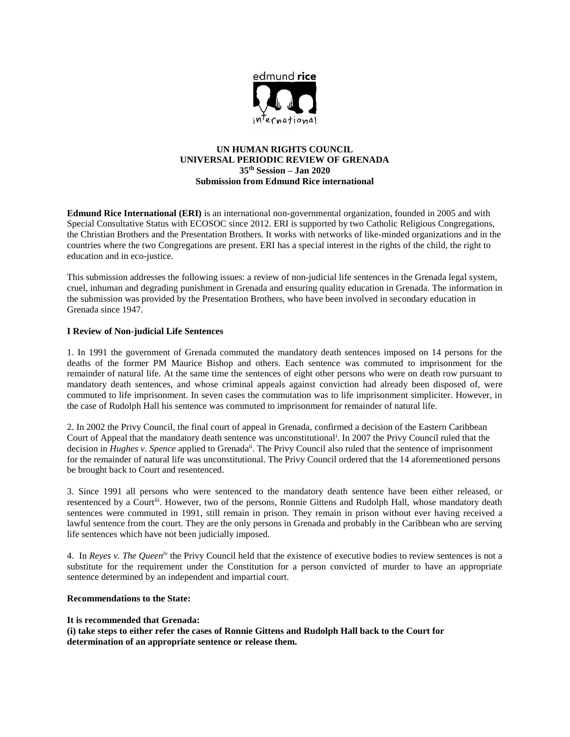

# **UN HUMAN RIGHTS COUNCIL UNIVERSAL PERIODIC REVIEW OF GRENADA 35th Session – Jan 2020 Submission from Edmund Rice international**

**Edmund Rice International (ERI)** is an international non-governmental organization, founded in 2005 and with Special Consultative Status with ECOSOC since 2012. ERI is supported by two Catholic Religious Congregations, the Christian Brothers and the Presentation Brothers. It works with networks of like-minded organizations and in the countries where the two Congregations are present. ERI has a special interest in the rights of the child, the right to education and in eco-justice.

This submission addresses the following issues: a review of non-judicial life sentences in the Grenada legal system, cruel, inhuman and degrading punishment in Grenada and ensuring quality education in Grenada. The information in the submission was provided by the Presentation Brothers, who have been involved in secondary education in Grenada since 1947.

## **I Review of Non-judicial Life Sentences**

1. In 1991 the government of Grenada commuted the mandatory death sentences imposed on 14 persons for the deaths of the former PM Maurice Bishop and others. Each sentence was commuted to imprisonment for the remainder of natural life. At the same time the sentences of eight other persons who were on death row pursuant to mandatory death sentences, and whose criminal appeals against conviction had already been disposed of, were commuted to life imprisonment. In seven cases the commutation was to life imprisonment simpliciter. However, in the case of Rudolph Hall his sentence was commuted to imprisonment for remainder of natural life.

2. In 2002 the Privy Council, the final court of appeal in Grenada, confirmed a decision of the Eastern Caribbean Court of Appeal that the mandatory death sentence was unconstitutional<sup>i</sup> . In 2007 the Privy Council ruled that the decision in *Hughes v. Spence* applied to Grenadaii. The Privy Council also ruled that the sentence of imprisonment for the remainder of natural life was unconstitutional. The Privy Council ordered that the 14 aforementioned persons be brought back to Court and resentenced.

3. Since 1991 all persons who were sentenced to the mandatory death sentence have been either released, or resentenced by a Court<sup>iii</sup>. However, two of the persons, Ronnie Gittens and Rudolph Hall, whose mandatory death sentences were commuted in 1991, still remain in prison. They remain in prison without ever having received a lawful sentence from the court. They are the only persons in Grenada and probably in the Caribbean who are serving life sentences which have not been judicially imposed.

4. In *Reyes v. The Queeniv* the Privy Council held that the existence of executive bodies to review sentences is not a substitute for the requirement under the Constitution for a person convicted of murder to have an appropriate sentence determined by an independent and impartial court.

### **Recommendations to the State:**

### **It is recommended that Grenada:**

**(i) take steps to either refer the cases of Ronnie Gittens and Rudolph Hall back to the Court for determination of an appropriate sentence or release them.**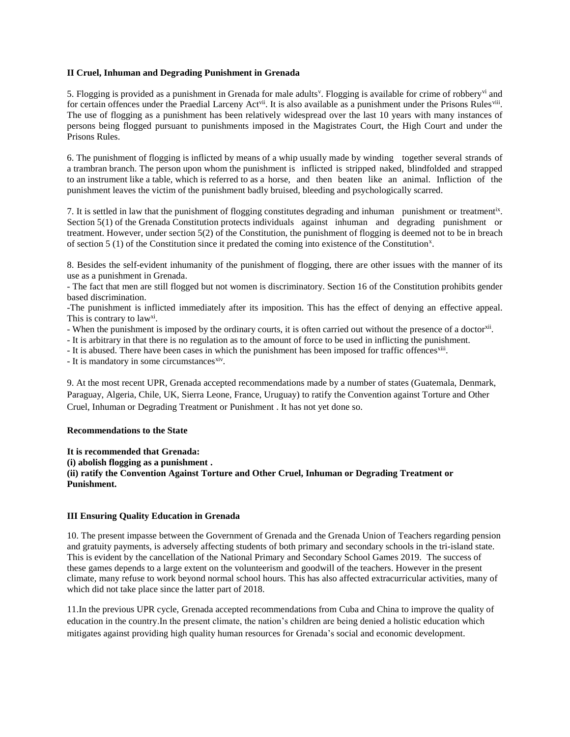### **II Cruel, Inhuman and Degrading Punishment in Grenada**

5. Flogging is provided as a punishment in Grenada for male adults<sup>y</sup>. Flogging is available for crime of robbery<sup>vi</sup> and for certain offences under the Praedial Larceny Act<sup>vii</sup>. It is also available as a punishment under the Prisons Rules<sup>vii</sup>. The use of flogging as a punishment has been relatively widespread over the last 10 years with many instances of persons being flogged pursuant to punishments imposed in the Magistrates Court, the High Court and under the Prisons Rules.

6. The punishment of flogging is inflicted by means of a whip usually made by winding together several strands of a trambran branch. The person upon whom the punishment is inflicted is stripped naked, blindfolded and strapped to an instrument like a table, which is referred to as a horse, and then beaten like an animal. Infliction of the punishment leaves the victim of the punishment badly bruised, bleeding and psychologically scarred.

7. It is settled in law that the punishment of flogging constitutes degrading and inhuman punishment or treatmentix. Section 5(1) of the Grenada Constitution protects individuals against inhuman and degrading punishment or treatment. However, under section 5(2) of the Constitution, the punishment of flogging is deemed not to be in breach of section 5 (1) of the Constitution since it predated the coming into existence of the Constitution<sup>x</sup>.

8. Besides the self-evident inhumanity of the punishment of flogging, there are other issues with the manner of its use as a punishment in Grenada.

- The fact that men are still flogged but not women is discriminatory. Section 16 of the Constitution prohibits gender based discrimination.

-The punishment is inflicted immediately after its imposition. This has the effect of denying an effective appeal. This is contrary to law<sup>xi</sup>.

- When the punishment is imposed by the ordinary courts, it is often carried out without the presence of a doctor<sup>xii</sup>.

- It is arbitrary in that there is no regulation as to the amount of force to be used in inflicting the punishment.

- It is abused. There have been cases in which the punishment has been imposed for traffic offences<sup>xiii</sup>.

- It is mandatory in some circumstances<sup>xiv</sup>.

9. At the most recent UPR, Grenada accepted recommendations made by a number of states (Guatemala, Denmark, Paraguay, Algeria, Chile, UK, Sierra Leone, France, Uruguay) to ratify the Convention against Torture and Other Cruel, Inhuman or Degrading Treatment or Punishment . It has not yet done so.

### **Recommendations to the State**

**It is recommended that Grenada: (i) abolish flogging as a punishment . (ii) ratify the Convention Against Torture and Other Cruel, Inhuman or Degrading Treatment or Punishment.**

### **III Ensuring Quality Education in Grenada**

10. The present impasse between the Government of Grenada and the Grenada Union of Teachers regarding pension and gratuity payments, is adversely affecting students of both primary and secondary schools in the tri-island state. This is evident by the cancellation of the National Primary and Secondary School Games 2019. The success of these games depends to a large extent on the volunteerism and goodwill of the teachers. However in the present climate, many refuse to work beyond normal school hours. This has also affected extracurricular activities, many of which did not take place since the latter part of 2018.

11.In the previous UPR cycle, Grenada accepted recommendations from Cuba and China to improve the quality of education in the country.In the present climate, the nation's children are being denied a holistic education which mitigates against providing high quality human resources for Grenada's social and economic development.